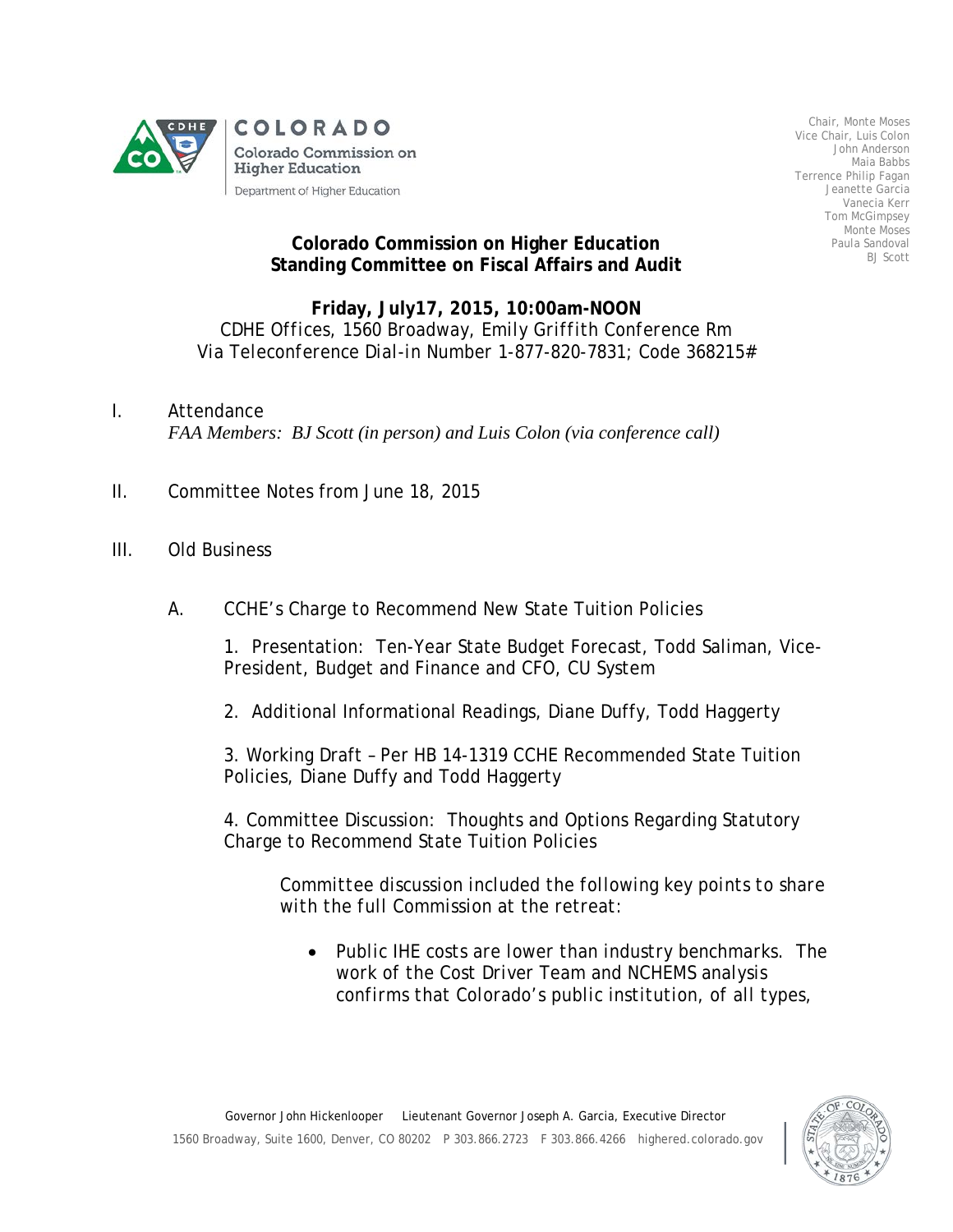

Chair, Monte Moses Vice Chair, Luis Colon John Anderson Maia Babbs Terrence Philip Fagan Jeanette Garcia Vanecia Kerr Tom McGimpsey Monte Moses Paula Sandoval BJ Scott

## **Colorado Commission on Higher Education Standing Committee on Fiscal Affairs and Audit**

## **Friday, July17, 2015, 10:00am-NOON** *CDHE Offices, 1560 Broadway, Emily Griffith Conference Rm Via Teleconference Dial-in Number 1-877-820-7831; Code 368215#*

- I. Attendance *FAA Members: BJ Scott (in person) and Luis Colon (via conference call)*
- II. Committee Notes from June 18, 2015
- III. Old Business
	- A. CCHE's Charge to Recommend New State Tuition Policies

1. Presentation: Ten-Year State Budget Forecast, Todd Saliman, Vice-President, Budget and Finance and CFO, CU System

2. Additional Informational Readings, Diane Duffy, Todd Haggerty

3. Working Draft – Per HB 14-1319 CCHE Recommended State Tuition Policies, Diane Duffy and Todd Haggerty

4. Committee Discussion: Thoughts and Options Regarding Statutory Charge to Recommend State Tuition Policies

*Committee discussion included the following key points to share with the full Commission at the retreat:*

• *Public IHE costs are lower than industry benchmarks. The work of the Cost Driver Team and NCHEMS analysis confirms that Colorado's public institution, of all types,*